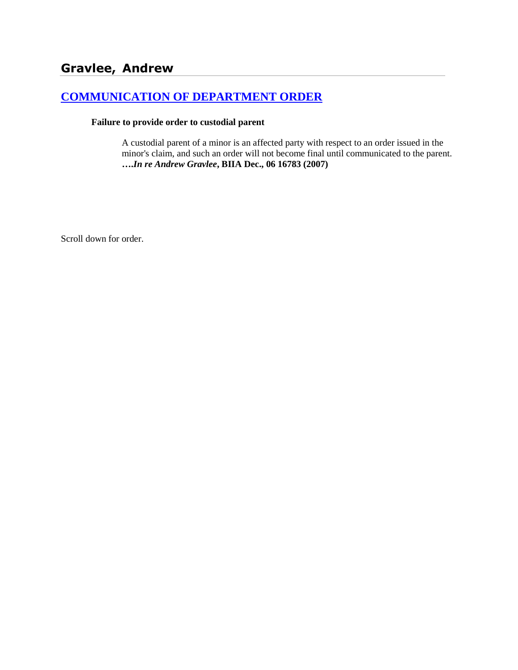# **[COMMUNICATION OF DEPARTMENT ORDER](http://www.biia.wa.gov/SDSubjectIndex.html#COMMUNICATION_OF_DEPARTMENT_ORDER)**

#### **Failure to provide order to custodial parent**

A custodial parent of a minor is an affected party with respect to an order issued in the minor's claim, and such an order will not become final until communicated to the parent. **….***In re Andrew Gravlee***, BIIA Dec., 06 16783 (2007)**

Scroll down for order.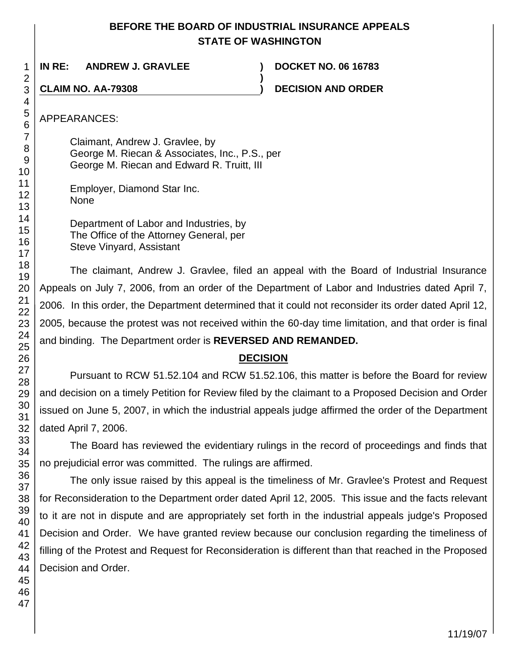## **BEFORE THE BOARD OF INDUSTRIAL INSURANCE APPEALS STATE OF WASHINGTON**

**)**

**IN RE: ANDREW J. GRAVLEE ) DOCKET NO. 06 16783**

**CLAIM NO. AA-79308 ) DECISION AND ORDER**

APPEARANCES:

Claimant, Andrew J. Gravlee, by George M. Riecan & Associates, Inc., P.S., per George M. Riecan and Edward R. Truitt, III

- Employer, Diamond Star Inc. None
	- Department of Labor and Industries, by The Office of the Attorney General, per Steve Vinyard, Assistant

The claimant, Andrew J. Gravlee, filed an appeal with the Board of Industrial Insurance Appeals on July 7, 2006, from an order of the Department of Labor and Industries dated April 7, 2006. In this order, the Department determined that it could not reconsider its order dated April 12, 2005, because the protest was not received within the 60-day time limitation, and that order is final and binding. The Department order is **REVERSED AND REMANDED.**

# **DECISION**

Pursuant to RCW 51.52.104 and RCW 51.52.106, this matter is before the Board for review and decision on a timely Petition for Review filed by the claimant to a Proposed Decision and Order issued on June 5, 2007, in which the industrial appeals judge affirmed the order of the Department dated April 7, 2006.

The Board has reviewed the evidentiary rulings in the record of proceedings and finds that no prejudicial error was committed. The rulings are affirmed.

The only issue raised by this appeal is the timeliness of Mr. Gravlee's Protest and Request for Reconsideration to the Department order dated April 12, 2005. This issue and the facts relevant to it are not in dispute and are appropriately set forth in the industrial appeals judge's Proposed Decision and Order. We have granted review because our conclusion regarding the timeliness of filling of the Protest and Request for Reconsideration is different than that reached in the Proposed Decision and Order.

1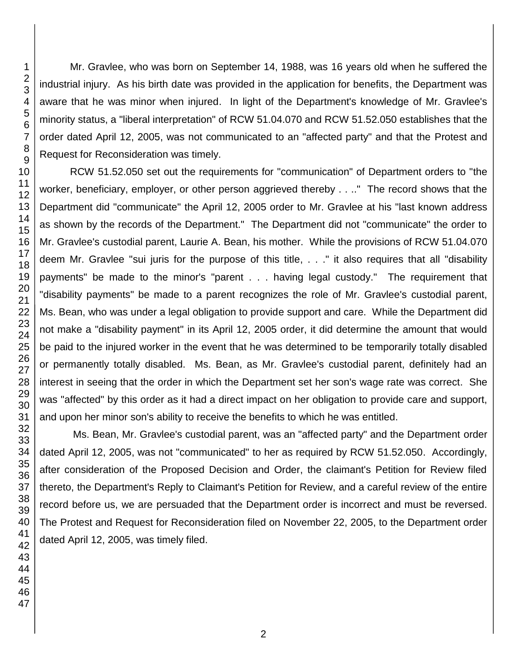Mr. Gravlee, who was born on September 14, 1988, was 16 years old when he suffered the industrial injury. As his birth date was provided in the application for benefits, the Department was aware that he was minor when injured. In light of the Department's knowledge of Mr. Gravlee's minority status, a "liberal interpretation" of RCW 51.04.070 and RCW 51.52.050 establishes that the order dated April 12, 2005, was not communicated to an "affected party" and that the Protest and Request for Reconsideration was timely.

RCW 51.52.050 set out the requirements for "communication" of Department orders to "the worker, beneficiary, employer, or other person aggrieved thereby . . .." The record shows that the Department did "communicate" the April 12, 2005 order to Mr. Gravlee at his "last known address as shown by the records of the Department." The Department did not "communicate" the order to Mr. Gravlee's custodial parent, Laurie A. Bean, his mother. While the provisions of RCW 51.04.070 deem Mr. Gravlee "sui juris for the purpose of this title, . . ." it also requires that all "disability payments" be made to the minor's "parent . . . having legal custody." The requirement that "disability payments" be made to a parent recognizes the role of Mr. Gravlee's custodial parent, Ms. Bean, who was under a legal obligation to provide support and care. While the Department did not make a "disability payment" in its April 12, 2005 order, it did determine the amount that would be paid to the injured worker in the event that he was determined to be temporarily totally disabled or permanently totally disabled. Ms. Bean, as Mr. Gravlee's custodial parent, definitely had an interest in seeing that the order in which the Department set her son's wage rate was correct. She was "affected" by this order as it had a direct impact on her obligation to provide care and support, and upon her minor son's ability to receive the benefits to which he was entitled.

Ms. Bean, Mr. Gravlee's custodial parent, was an "affected party" and the Department order dated April 12, 2005, was not "communicated" to her as required by RCW 51.52.050. Accordingly, after consideration of the Proposed Decision and Order, the claimant's Petition for Review filed thereto, the Department's Reply to Claimant's Petition for Review, and a careful review of the entire record before us, we are persuaded that the Department order is incorrect and must be reversed. The Protest and Request for Reconsideration filed on November 22, 2005, to the Department order dated April 12, 2005, was timely filed.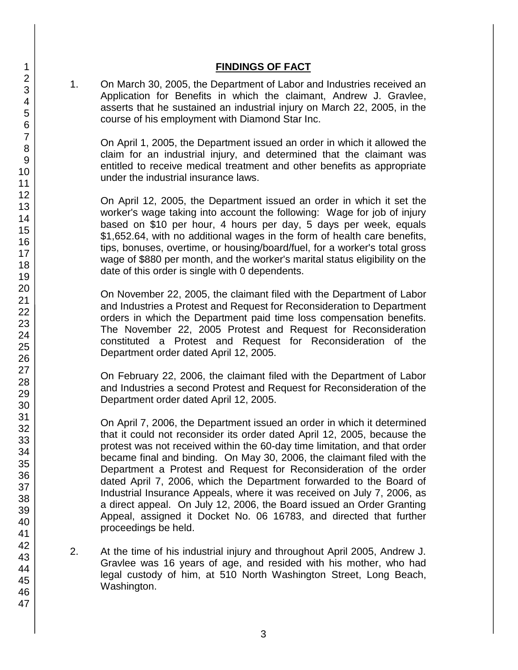## **FINDINGS OF FACT**

1. On March 30, 2005, the Department of Labor and Industries received an Application for Benefits in which the claimant, Andrew J. Gravlee, asserts that he sustained an industrial injury on March 22, 2005, in the course of his employment with Diamond Star Inc.

On April 1, 2005, the Department issued an order in which it allowed the claim for an industrial injury, and determined that the claimant was entitled to receive medical treatment and other benefits as appropriate under the industrial insurance laws.

On April 12, 2005, the Department issued an order in which it set the worker's wage taking into account the following: Wage for job of injury based on \$10 per hour, 4 hours per day, 5 days per week, equals \$1,652.64, with no additional wages in the form of health care benefits, tips, bonuses, overtime, or housing/board/fuel, for a worker's total gross wage of \$880 per month, and the worker's marital status eligibility on the date of this order is single with 0 dependents.

On November 22, 2005, the claimant filed with the Department of Labor and Industries a Protest and Request for Reconsideration to Department orders in which the Department paid time loss compensation benefits. The November 22, 2005 Protest and Request for Reconsideration constituted a Protest and Request for Reconsideration of the Department order dated April 12, 2005.

On February 22, 2006, the claimant filed with the Department of Labor and Industries a second Protest and Request for Reconsideration of the Department order dated April 12, 2005.

On April 7, 2006, the Department issued an order in which it determined that it could not reconsider its order dated April 12, 2005, because the protest was not received within the 60-day time limitation, and that order became final and binding. On May 30, 2006, the claimant filed with the Department a Protest and Request for Reconsideration of the order dated April 7, 2006, which the Department forwarded to the Board of Industrial Insurance Appeals, where it was received on July 7, 2006, as a direct appeal. On July 12, 2006, the Board issued an Order Granting Appeal, assigned it Docket No. 06 16783, and directed that further proceedings be held.

- 2. At the time of his industrial injury and throughout April 2005, Andrew J. Gravlee was 16 years of age, and resided with his mother, who had legal custody of him, at 510 North Washington Street, Long Beach, Washington.
- 1 2 3 4 5 6 7 8 9 10 11 12 13 14 15 16 17 18 19 20 21 22 23 24 25 26 27 28 29 30 31 32 33 34 35 36 37 38 39 40 41 42 43 44 45 46 47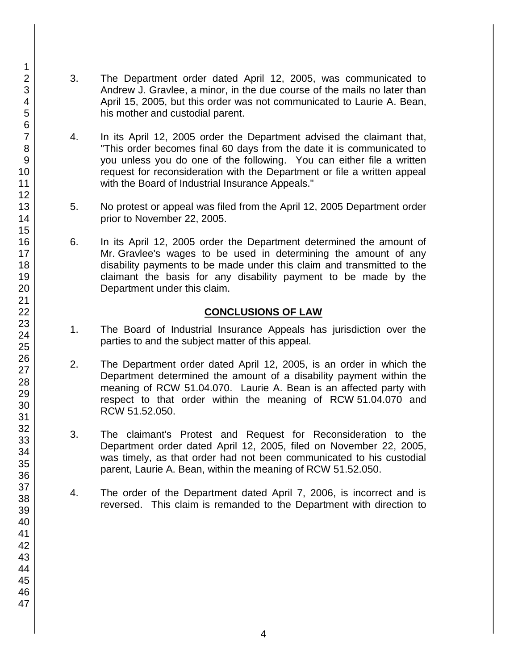- 3. The Department order dated April 12, 2005, was communicated to Andrew J. Gravlee, a minor, in the due course of the mails no later than April 15, 2005, but this order was not communicated to Laurie A. Bean, his mother and custodial parent.
- 4. In its April 12, 2005 order the Department advised the claimant that, "This order becomes final 60 days from the date it is communicated to you unless you do one of the following. You can either file a written request for reconsideration with the Department or file a written appeal with the Board of Industrial Insurance Appeals."
- 5. No protest or appeal was filed from the April 12, 2005 Department order prior to November 22, 2005.
- 6. In its April 12, 2005 order the Department determined the amount of Mr. Gravlee's wages to be used in determining the amount of any disability payments to be made under this claim and transmitted to the claimant the basis for any disability payment to be made by the Department under this claim.

## **CONCLUSIONS OF LAW**

- 1. The Board of Industrial Insurance Appeals has jurisdiction over the parties to and the subject matter of this appeal.
- 2. The Department order dated April 12, 2005, is an order in which the Department determined the amount of a disability payment within the meaning of RCW 51.04.070. Laurie A. Bean is an affected party with respect to that order within the meaning of RCW 51.04.070 and RCW 51.52.050.
- 3. The claimant's Protest and Request for Reconsideration to the Department order dated April 12, 2005, filed on November 22, 2005, was timely, as that order had not been communicated to his custodial parent, Laurie A. Bean, within the meaning of RCW 51.52.050.
- 4. The order of the Department dated April 7, 2006, is incorrect and is reversed. This claim is remanded to the Department with direction to